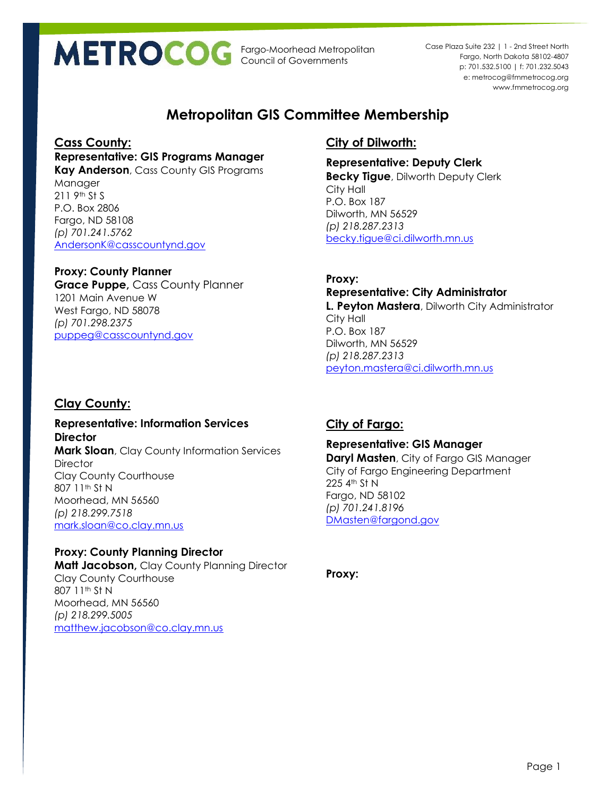Fargo-Moorhead Metropolitan Council of Governments

p: 701.532.5100 | f: 701.232.5043 e: metrocog@fmmetrocog.org www.fmmetrocog.org Case Plaza Suite 232 | 1 - 2nd Street North Fargo, North Dakota 58102-4807

# **Metropolitan GIS Committee Membership**

#### **Cass County:**

**Representative: GIS Programs Manager**

**Kay Anderson**, Cass County GIS Programs Manager 211 9th St S P.O. Box 2806 Fargo, ND 58108 *(p) 701.241.5762* [AndersonK@casscountynd.gov](mailto:AndersonK@casscountynd.gov)

## **Proxy: County Planner**

**Grace Puppe,** Cass County Planner 1201 Main Avenue W West Fargo, ND 58078 *(p) 701.298.2375* [puppeg@casscountynd.gov](mailto:puppeg@casscountynd.gov)

# **Clay County:**

**Representative: Information Services Director Mark Sloan**, Clay County Information Services **Director** Clay County Courthouse 807 11<sup>th</sup> St N Moorhead, MN 56560 *(p) 218.299.7518* [mark.sloan@co.clay.mn.us](mailto:mark.sloan@co.clay.mn.us)

**Proxy: County Planning Director Matt Jacobson,** Clay County Planning Director Clay County Courthouse 807 11th St N Moorhead, MN 56560 *(p) 218.299.5005* [matthew.jacobson@co.clay.mn.us](mailto:matthew.jacobson@co.clay.mn.us)

# **City of Dilworth:**

**Representative: Deputy Clerk Becky Tigue**, Dilworth Deputy Clerk City Hall P.O. Box 187 Dilworth, MN 56529 *(p) 218.287.2313* [becky.tigue@ci.dilworth.mn.us](mailto:becky.tigue@ci.dilworth.mn.us)

**Proxy: Representative: City Administrator L. Peyton Mastera**, Dilworth City Administrator City Hall P.O. Box 187 Dilworth, MN 56529 *(p) 218.287.2313* [peyton.mastera@ci.dilworth.mn.us](mailto:peyton.mastera@ci.dilworth.mn.us)

# **City of Fargo:**

#### **Representative: GIS Manager**

**Daryl Masten**, City of Fargo GIS Manager City of Fargo Engineering Department 225 4th St N Fargo, ND 58102 *(p) 701.241.8196* [DMasten@fargond.gov](mailto:DMasten@fargond.gov)

**Proxy:**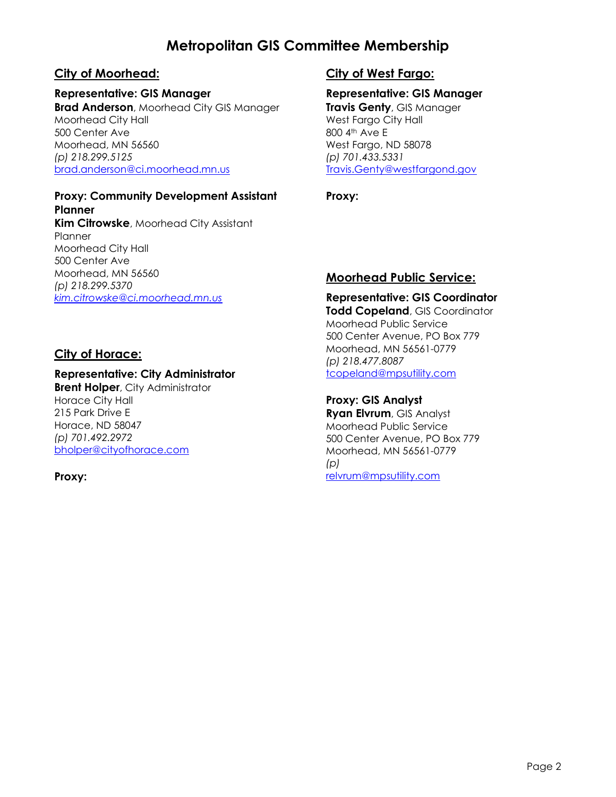# **Metropolitan GIS Committee Membership**

## **City of Moorhead:**

#### **Representative: GIS Manager**

**Brad Anderson**, Moorhead City GIS Manager Moorhead City Hall 500 Center Ave Moorhead, MN 56560 *(p) 218.299.5125* [brad.anderson@ci.moorhead.mn.us](mailto:brad.anderson@ci.moorhead.mn.us)

#### **Proxy: Community Development Assistant Planner**

**Kim Citrowske**, Moorhead City Assistant Planner Moorhead City Hall 500 Center Ave Moorhead, MN 56560 *(p) 218.299.5370 [kim.citrowske@ci.moorhead.mn.us](mailto:kim.citrowske@ci.moorhead.mn.us)*

### **City of Horace:**

#### **Representative: City Administrator**

**Brent Holper**, City Administrator Horace City Hall 215 Park Drive E Horace, ND 58047 *(p) 701.492.2972* [bholper@cityofhorace.com](mailto:Travis.Genty@westfargond.gov)

#### **Proxy:**

## **City of West Fargo:**

# **Representative: GIS Manager**

**Travis Genty**, GIS Manager West Fargo City Hall 800 4<sup>th</sup> Ave E West Fargo, ND 58078 *(p) 701.433.5331* [Travis.Genty@westfargond.gov](mailto:Travis.Genty@westfargond.gov)

#### **Proxy:**

### **Moorhead Public Service:**

**Representative: GIS Coordinator Todd Copeland**, GIS Coordinator Moorhead Public Service 500 Center Avenue, PO Box 779 Moorhead, MN 56561-0779 *(p) 218.477.8087* [tcopeland@mpsutility.com](mailto:tcopeland@mpsutility.com)

#### **Proxy: GIS Analyst**

**Ryan Elvrum**, GIS Analyst Moorhead Public Service 500 Center Avenue, PO Box 779 Moorhead, MN 56561-0779 *(p)*  [relvrum@mpsutility.com](mailto:relvrum@mpsutility.com)